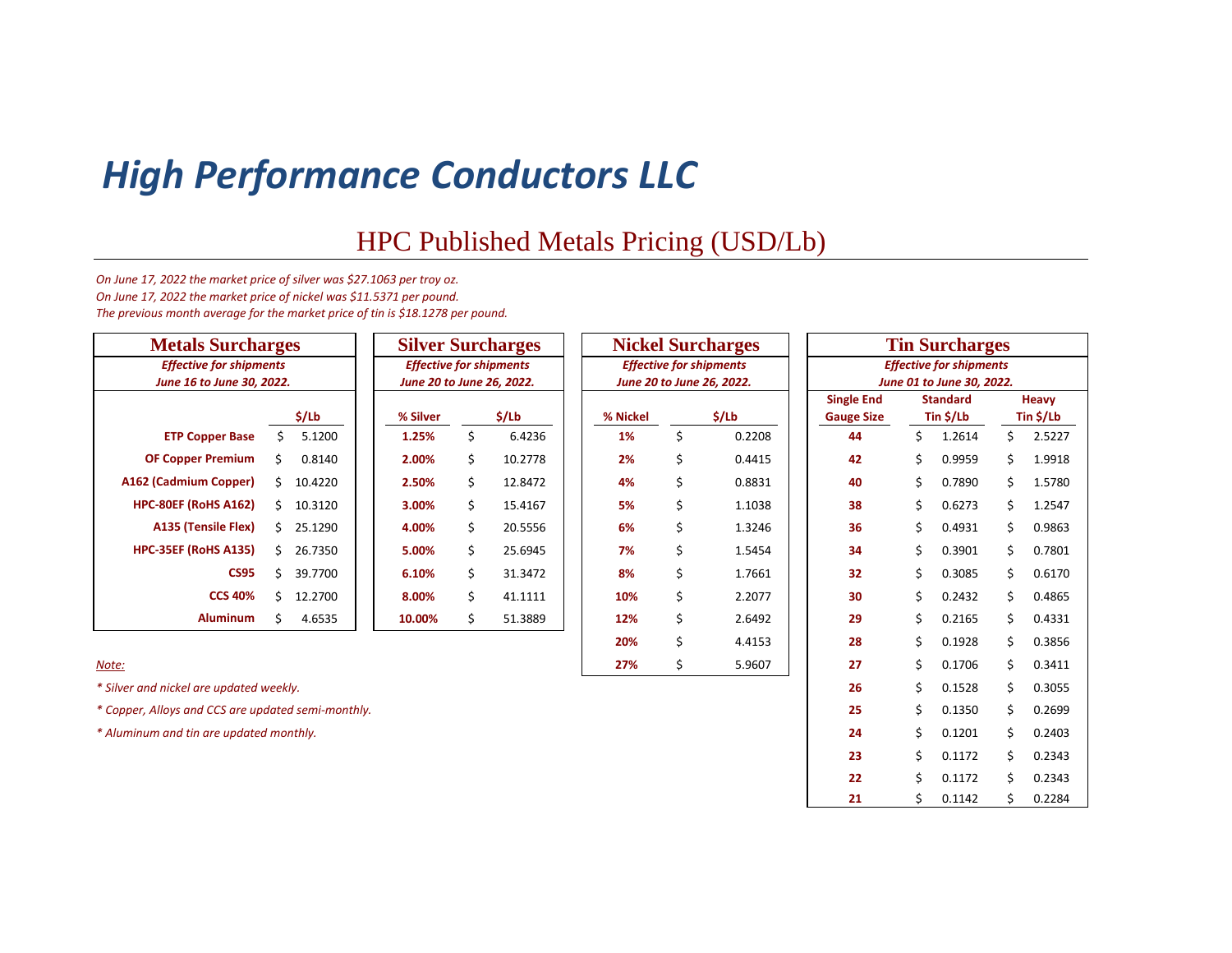# *High Performance Conductors LLC*

HPC Published Metals Pricing (USD/Lb)

*On June 17, 2022 the market price of silver was \$27.1063 per troy oz. On June 17, 2022 the market price of nickel was \$11.5371 per pound. The previous month average for the market price of tin is \$18.1278 per pound.*

| <b>Metals Surcharges</b>       |    |         |  | <b>Silver Surcharges</b>       |    |          |                                                             | <b>Nickel Surcharges</b> | <b>Tin Surcharges</b> |                                                             |     |                 |    |        |  |
|--------------------------------|----|---------|--|--------------------------------|----|----------|-------------------------------------------------------------|--------------------------|-----------------------|-------------------------------------------------------------|-----|-----------------|----|--------|--|
| <b>Effective for shipments</b> |    |         |  | <b>Effective for shipments</b> |    |          | <b>Effective for shipments</b><br>June 20 to June 26, 2022. |                          |                       | <b>Effective for shipments</b><br>June 01 to June 30, 2022. |     |                 |    |        |  |
| June 16 to June 30, 2022.      |    |         |  | June 20 to June 26, 2022.      |    |          |                                                             |                          |                       | <b>Single End</b>                                           |     | <b>Standard</b> |    | Heavy  |  |
|                                |    | \$/Lb   |  | \$/Lb<br>% Silver              |    | % Nickel |                                                             | \$/Lb                    | <b>Gauge Size</b>     | Tin \$/Lb                                                   |     | Tin \$/Lb       |    |        |  |
| <b>ETP Copper Base</b>         |    | 5.1200  |  | 1.25%                          | \$ | 6.4236   | 1%                                                          | Ś                        | 0.2208                | 44                                                          |     | 1.2614          |    | 2.5227 |  |
| <b>OF Copper Premium</b>       | S. | 0.8140  |  | 2.00%                          | \$ | 10.2778  | 2%                                                          | Ś                        | 0.4415                | 42                                                          | Ś.  | 0.9959          | ς. | 1.9918 |  |
| A162 (Cadmium Copper)          | Š. | 10.4220 |  | 2.50%                          | \$ | 12.8472  | 4%                                                          | Ś                        | 0.8831                | 40                                                          | Ś.  | 0.7890          | ς  | 1.5780 |  |
| <b>HPC-80EF (RoHS A162)</b>    | S. | 10.3120 |  | 3.00%                          | \$ | 15.4167  | 5%                                                          | \$                       | 1.1038                | 38                                                          | Ś.  | 0.6273          | S. | 1.2547 |  |
| A135 (Tensile Flex)            | Ś. | 25.1290 |  | 4.00%                          | \$ | 20.5556  | 6%                                                          | Ś                        | 1.3246                | 36                                                          | \$. | 0.4931          | S. | 0.9863 |  |
| <b>HPC-35EF (RoHS A135)</b>    | Ś. | 26.7350 |  | 5.00%                          | \$ | 25.6945  | 7%                                                          | Ś                        | 1.5454                | 34                                                          | Ś.  | 0.3901          | ς  | 0.7801 |  |
| <b>CS95</b>                    | Ś  | 39.7700 |  | 6.10%                          | \$ | 31.3472  | 8%                                                          | Ś.                       | 1.7661                | 32                                                          | Ś.  | 0.3085          | S. | 0.6170 |  |
| <b>CCS 40%</b>                 | S. | 12.2700 |  | 8.00%                          | \$ | 41.1111  | 10%                                                         | \$                       | 2.2077                | 30                                                          | Ś.  | 0.2432          | ς. | 0.4865 |  |
| <b>Aluminum</b>                |    | 4.6535  |  | 10.00%                         | \$ | 51.3889  | 12%                                                         | \$                       | 2.6492                | 29                                                          | Ś.  | 0.2165          | ς  | 0.4331 |  |
|                                |    |         |  |                                |    |          | 20%                                                         |                          | 4.4153                | 28                                                          |     | 0.1928          |    | 0.3856 |  |

**23**  $\qquad$  \$ 0.1172  $\qquad$  \$ 0.2343 **22**  $\qquad \qquad$  \$ 0.1172  $\qquad$  \$ 0.2343 **21**  $\qquad \qquad$  \$ 0.1142  $\qquad$  \$ 0.2284

#### *Note:* **27%** \$ 5.9607 **27** ## \$ 0.1706 \$ 0.3411

*\* Silver and nickel are updated weekly.* **26** ## \$ 0.1528 \$ 0.3055

*\* Copper, Alloys and CCS are updated semi-monthly.* **25** ## \$ 0.1350 \$ 0.2699

*\* Aluminum and tin are updated monthly.* **24**  $\binom{1}{2}$  **24**  $\binom{2}{3}$  **24**  $\binom{3}{4}$  **24**  $\binom{4}{5}$  **0.2403**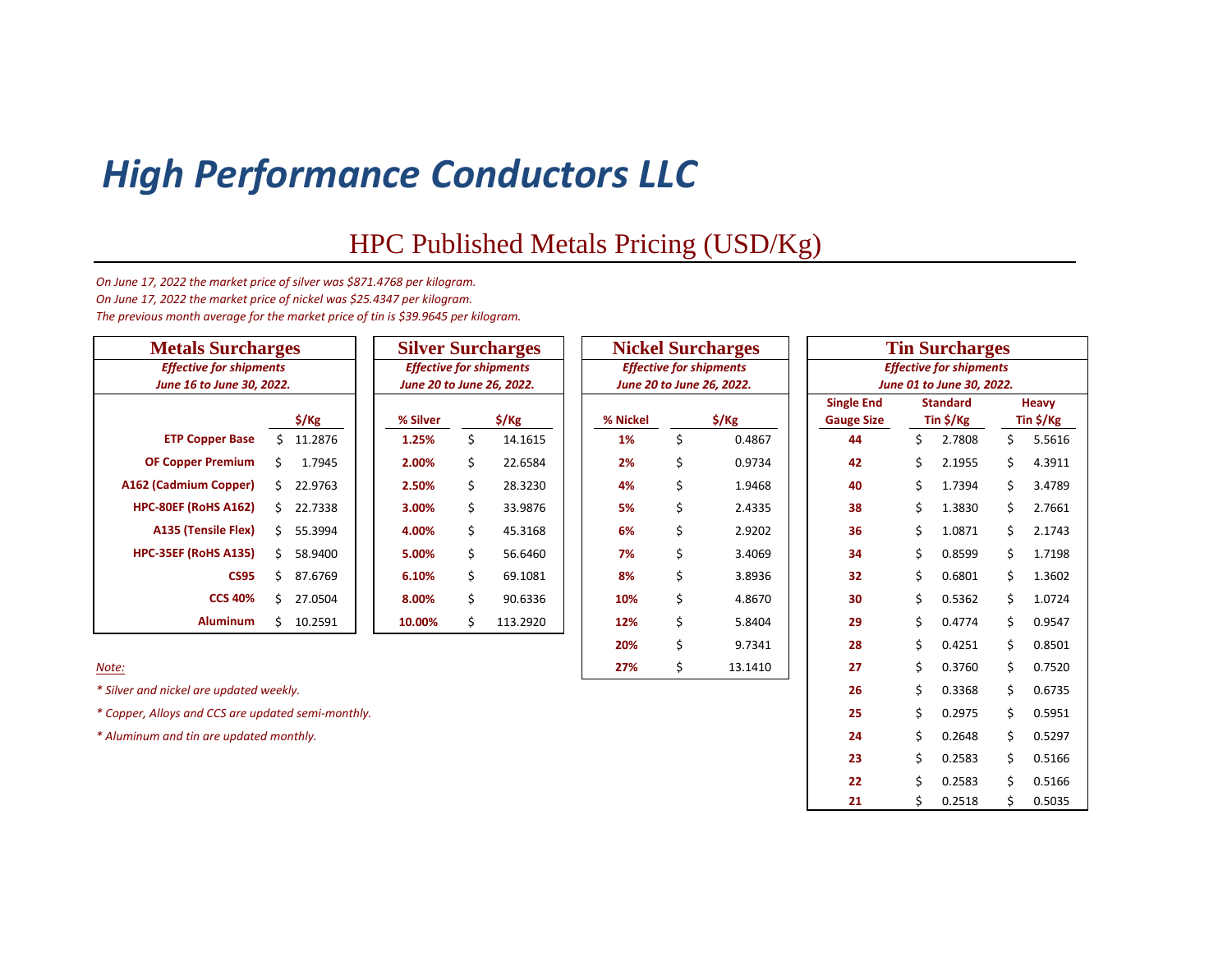## *High Performance Conductors LLC*

## HPC Published Metals Pricing (USD/Kg)

*On June 17, 2022 the market price of silver was \$871.4768 per kilogram. On June 17, 2022 the market price of nickel was \$25.4347 per kilogram. The previous month average for the market price of tin is \$39.9645 per kilogram.*

| <b>Metals Surcharges</b>                                    |    |                  |  | <b>Silver Surcharges</b>                                    |    |                            |  | <b>Nickel Surcharges</b>                                           | <b>Tin Surcharges</b> |                                        |                                                             |    |    |                    |    |        |
|-------------------------------------------------------------|----|------------------|--|-------------------------------------------------------------|----|----------------------------|--|--------------------------------------------------------------------|-----------------------|----------------------------------------|-------------------------------------------------------------|----|----|--------------------|----|--------|
| <b>Effective for shipments</b><br>June 16 to June 30, 2022. |    |                  |  | <b>Effective for shipments</b><br>June 20 to June 26, 2022. |    |                            |  | <b>Effective for shipments</b><br><b>June 20 to June 26, 2022.</b> |                       |                                        | <b>Effective for shipments</b><br>June 01 to June 30, 2022. |    |    |                    |    |        |
|                                                             |    | $\frac{1}{2}$ Kg |  | % Silver                                                    |    | \$/Kg<br>\$/Kg<br>% Nickel |  |                                                                    |                       | <b>Single End</b><br><b>Gauge Size</b> | <b>Standard</b><br>Tin \$/Kg                                |    |    | Heavy<br>Tin \$/Kg |    |        |
| <b>ETP Copper Base</b>                                      | S  | 11.2876          |  | 1.25%                                                       | \$ | 14.1615                    |  | 1%                                                                 | \$                    | 0.4867                                 |                                                             | 44 |    | 2.7808             |    | 5.5616 |
| <b>OF Copper Premium</b>                                    | Ś. | 1.7945           |  | 2.00%                                                       | \$ | 22.6584                    |  | 2%                                                                 | \$                    | 0.9734                                 |                                                             | 42 | Ś. | 2.1955             |    | 4.3911 |
| A162 (Cadmium Copper)                                       | Ś. | 22.9763          |  | 2.50%                                                       | \$ | 28.3230                    |  | 4%                                                                 | Ś                     | 1.9468                                 |                                                             | 40 | Ś. | 1.7394             | ς. | 3.4789 |
| HPC-80EF (RoHS A162)                                        | Ś. | 22.7338          |  | 3.00%                                                       | \$ | 33.9876                    |  | 5%                                                                 | \$                    | 2.4335                                 |                                                             | 38 | Ś. | 1.3830             | Ś. | 2.7661 |
| A135 (Tensile Flex)                                         | Ś. | 55.3994          |  | 4.00%                                                       | \$ | 45.3168                    |  | 6%                                                                 | Ś                     | 2.9202                                 |                                                             | 36 | Ś. | 1.0871             |    | 2.1743 |
| <b>HPC-35EF (RoHS A135)</b>                                 | Ś. | 58.9400          |  | 5.00%                                                       | \$ | 56.6460                    |  | 7%                                                                 | Ś                     | 3.4069                                 |                                                             | 34 | Ś. | 0.8599             | ς. | 1.7198 |
| <b>CS95</b>                                                 | Š. | 87.6769          |  | 6.10%                                                       | \$ | 69.1081                    |  | 8%                                                                 | \$                    | 3.8936                                 |                                                             | 32 | Ś. | 0.6801             |    | 1.3602 |
| <b>CCS 40%</b>                                              | Ś. | 27.0504          |  | 8.00%                                                       | \$ | 90.6336                    |  | 10%                                                                | \$                    | 4.8670                                 |                                                             | 30 | Ś. | 0.5362             |    | 1.0724 |
| <b>Aluminum</b>                                             | Ś. | 10.2591          |  | 10.00%                                                      | \$ | 113.2920                   |  | 12%                                                                | \$                    | 5.8404                                 |                                                             | 29 | Ś. | 0.4774             | ς. | 0.9547 |
|                                                             |    |                  |  |                                                             |    |                            |  | 20%                                                                |                       | 9.7341                                 |                                                             | 28 | Ś  | 0.4251             |    | 0.8501 |

**23**  $\qquad$  \$ 0.2583 \$ 0.5166 **22**  $\qquad$  \$ 0.2583 \$ 0.5166 **21**  $\qquad \qquad$  \$ 0.2518  $\qquad$  \$ 0.5035

*Note:* **27%** \$ 13.1410 **27** ## \$ 0.3760 \$ 0.7520

*\* Silver and nickel are updated weekly.* **26** ## \$ 0.3368 \$ 0.6735

*\* Copper, Alloys and CCS are updated semi-monthly.* **25** ## \$ 0.2975 \$ 0.5951

*\* Aluminum and tin are updated monthly.* **24** ## \$ 0.2648 \$ 0.5297